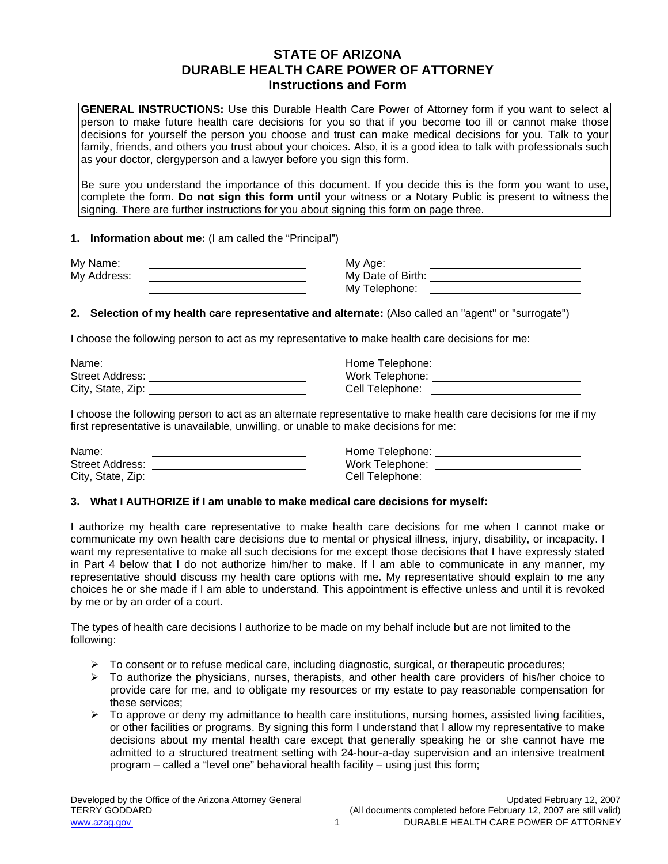# **STATE OF ARIZONA DURABLE HEALTH CARE POWER OF ATTORNEY Instructions and Form**

**GENERAL INSTRUCTIONS:** Use this Durable Health Care Power of Attorney form if you want to select a person to make future health care decisions for you so that if you become too ill or cannot make those decisions for yourself the person you choose and trust can make medical decisions for you. Talk to your family, friends, and others you trust about your choices. Also, it is a good idea to talk with professionals such as your doctor, clergyperson and a lawyer before you sign this form.

Be sure you understand the importance of this document. If you decide this is the form you want to use, complete the form. **Do not sign this form until** your witness or a Notary Public is present to witness the signing. There are further instructions for you about signing this form on page three.

## **1. Information about me:** (I am called the "Principal")

| My Name:    | My Age:           |
|-------------|-------------------|
| My Address: | My Date of Birth: |
|             | My Telephone:     |

# **2. Selection of my health care representative and alternate:** (Also called an "agent" or "surrogate")

I choose the following person to act as my representative to make health care decisions for me:

| Name:             | Home Telephone: |
|-------------------|-----------------|
| Street Address:   | Work Telephone: |
| City, State, Zip: | Cell Telephone: |

I choose the following person to act as an alternate representative to make health care decisions for me if my first representative is unavailable, unwilling, or unable to make decisions for me:

| Name:                  | Home Telephone: |
|------------------------|-----------------|
| <b>Street Address:</b> | Work Telephone: |
| City, State, Zip:      | Cell Telephone: |

## **3. What I AUTHORIZE if I am unable to make medical care decisions for myself:**

I authorize my health care representative to make health care decisions for me when I cannot make or communicate my own health care decisions due to mental or physical illness, injury, disability, or incapacity. I want my representative to make all such decisions for me except those decisions that I have expressly stated in Part 4 below that I do not authorize him/her to make. If I am able to communicate in any manner, my representative should discuss my health care options with me. My representative should explain to me any choices he or she made if I am able to understand. This appointment is effective unless and until it is revoked by me or by an order of a court.

The types of health care decisions I authorize to be made on my behalf include but are not limited to the following:

- $\triangleright$  To consent or to refuse medical care, including diagnostic, surgical, or therapeutic procedures;
- $\triangleright$  To authorize the physicians, nurses, therapists, and other health care providers of his/her choice to provide care for me, and to obligate my resources or my estate to pay reasonable compensation for these services;
- $\triangleright$  To approve or deny my admittance to health care institutions, nursing homes, assisted living facilities, or other facilities or programs. By signing this form I understand that I allow my representative to make decisions about my mental health care except that generally speaking he or she cannot have me admitted to a structured treatment setting with 24-hour-a-day supervision and an intensive treatment program – called a "level one" behavioral health facility – using just this form;

 $\overline{a}$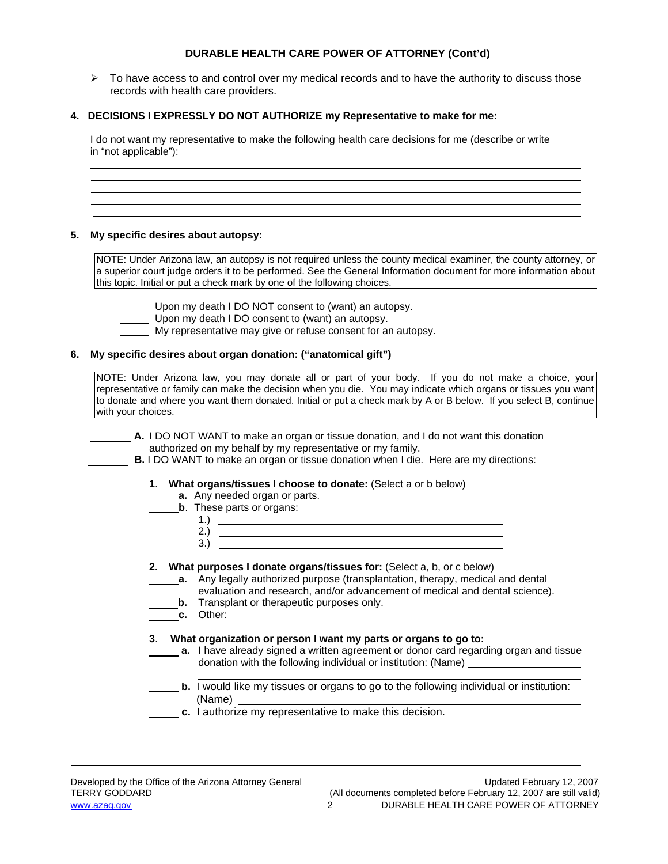# **DURABLE HEALTH CARE POWER OF ATTORNEY (Cont'd)**

 $\triangleright$  To have access to and control over my medical records and to have the authority to discuss those records with health care providers.

### **4. DECISIONS I EXPRESSLY DO NOT AUTHORIZE my Representative to make for me:**

 I do not want my representative to make the following health care decisions for me (describe or write in "not applicable"):

#### **5. My specific desires about autopsy:**

NOTE: Under Arizona law, an autopsy is not required unless the county medical examiner, the county attorney, or a superior court judge orders it to be performed. See the General Information document for more information about this topic. Initial or put a check mark by one of the following choices.

- Upon my death I DO NOT consent to (want) an autopsy.
	- Upon my death I DO consent to (want) an autopsy.
		- Wy representative may give or refuse consent for an autopsy.

#### **6. My specific desires about organ donation: ("anatomical gift")**

NOTE: Under Arizona law, you may donate all or part of your body. If you do not make a choice, your representative or family can make the decision when you die. You may indicate which organs or tissues you want to donate and where you want them donated. Initial or put a check mark by A or B below. If you select B, continue with your choices.

 **A.** I DO NOT WANT to make an organ or tissue donation, and I do not want this donation authorized on my behalf by my representative or my family.

**B.** I DO WANT to make an organ or tissue donation when I die. Here are my directions:

#### **1**. **What organs/tissues I choose to donate:** (Select a or b below)

- **a.** Any needed organ or parts.
- **b**. These parts or organs:

| <u>.</u> |  |
|----------|--|
|          |  |
|          |  |

- **2. What purposes I donate organs/tissues for:** (Select a, b, or c below)
- **a.** Any legally authorized purpose (transplantation, therapy, medical and dental evaluation and research, and/or advancement of medical and dental science).
- **b.** Transplant or therapeutic purposes only.
- **c.** Other:
- **3**. **What organization or person I want my parts or organs to go to:** 
	- **a.** I have already signed a written agreement or donor card regarding organ and tissue donation with the following individual or institution: (Name)
- **b.** I would like my tissues or organs to go to the following individual or institution: (Name)
	- **c.** I authorize my representative to make this decision.

 $\overline{a}$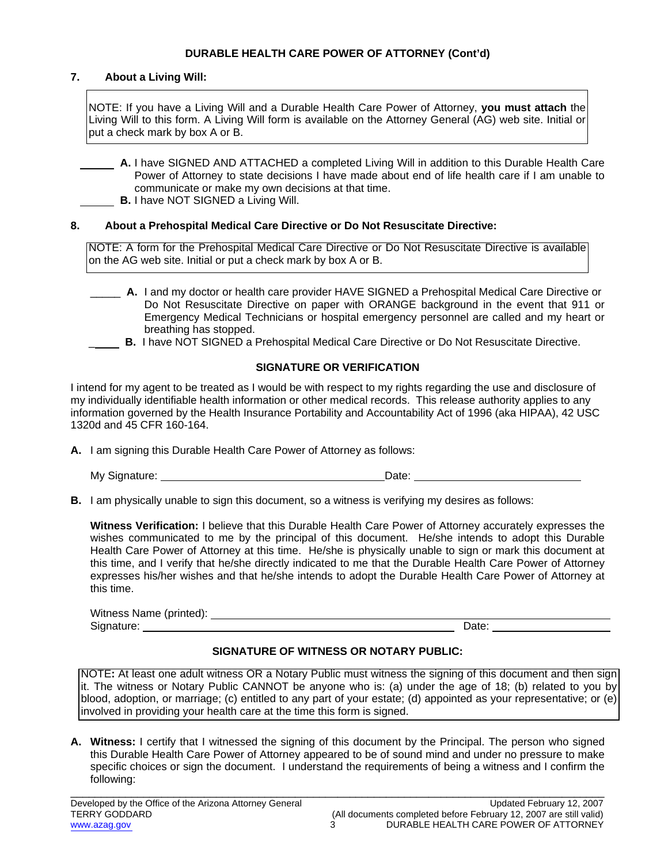# **DURABLE HEALTH CARE POWER OF ATTORNEY (Cont'd)**

#### **7. About a Living Will:**

NOTE: If you have a Living Will and a Durable Health Care Power of Attorney, **you must attach** the Living Will to this form. A Living Will form is available on the Attorney General (AG) web site. Initial or put a check mark by box A or B.

 **A.** I have SIGNED AND ATTACHED a completed Living Will in addition to this Durable Health Care Power of Attorney to state decisions I have made about end of life health care if I am unable to communicate or make my own decisions at that time.

**B.** I have NOT SIGNED a Living Will.

## **8. About a Prehospital Medical Care Directive or Do Not Resuscitate Directive:**

NOTE: A form for the Prehospital Medical Care Directive or Do Not Resuscitate Directive is available on the AG web site. Initial or put a check mark by box A or B.

- \_\_\_\_\_ **A.** I and my doctor or health care provider HAVE SIGNED a Prehospital Medical Care Directive or Do Not Resuscitate Directive on paper with ORANGE background in the event that 911 or Emergency Medical Technicians or hospital emergency personnel are called and my heart or breathing has stopped.
- \_ **B.** I have NOT SIGNED a Prehospital Medical Care Directive or Do Not Resuscitate Directive.

#### **SIGNATURE OR VERIFICATION**

I intend for my agent to be treated as I would be with respect to my rights regarding the use and disclosure of my individually identifiable health information or other medical records. This release authority applies to any information governed by the Health Insurance Portability and Accountability Act of 1996 (aka HIPAA), 42 USC 1320d and 45 CFR 160-164.

**A.** I am signing this Durable Health Care Power of Attorney as follows:

My Signature: Date: Date: Date: Date: Date: Date: Date: Date: Date: Date: Date: D

**B.** I am physically unable to sign this document, so a witness is verifying my desires as follows:

**Witness Verification:** I believe that this Durable Health Care Power of Attorney accurately expresses the wishes communicated to me by the principal of this document. He/she intends to adopt this Durable Health Care Power of Attorney at this time. He/she is physically unable to sign or mark this document at this time, and I verify that he/she directly indicated to me that the Durable Health Care Power of Attorney expresses his/her wishes and that he/she intends to adopt the Durable Health Care Power of Attorney at this time.

| Witness<br>: Name (printed): |       |
|------------------------------|-------|
| ⊰ı∩nat⊔re:                   | Date: |

## **SIGNATURE OF WITNESS OR NOTARY PUBLIC:**

NOTE**:** At least one adult witness OR a Notary Public must witness the signing of this document and then sign it. The witness or Notary Public CANNOT be anyone who is: (a) under the age of 18; (b) related to you by blood, adoption, or marriage; (c) entitled to any part of your estate; (d) appointed as your representative; or (e) involved in providing your health care at the time this form is signed.

**A. Witness:** I certify that I witnessed the signing of this document by the Principal. The person who signed this Durable Health Care Power of Attorney appeared to be of sound mind and under no pressure to make specific choices or sign the document. I understand the requirements of being a witness and I confirm the following:

\_\_\_\_\_\_\_\_\_\_\_\_\_\_\_\_\_\_\_\_\_\_\_\_\_\_\_\_\_\_\_\_\_\_\_\_\_\_\_\_\_\_\_\_\_\_\_\_\_\_\_\_\_\_\_\_\_\_\_\_\_\_\_\_\_\_\_\_\_\_\_\_\_\_\_\_\_\_\_\_\_\_\_\_\_\_\_\_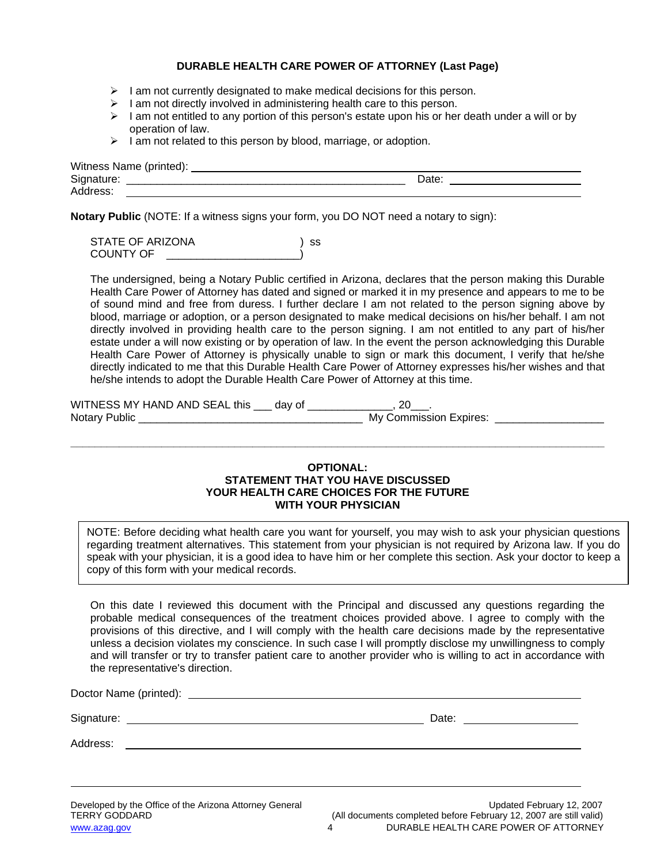## **DURABLE HEALTH CARE POWER OF ATTORNEY (Last Page)**

- $\triangleright$  I am not currently designated to make medical decisions for this person.
- $\geq 1$  am not directly involved in administering health care to this person.
- $\triangleright$  I am not entitled to any portion of this person's estate upon his or her death under a will or by operation of law.
- $\geq 1$  am not related to this person by blood, marriage, or adoption.

Witness Name (printed): Signature: \_\_\_\_\_\_\_\_\_\_\_\_\_\_\_\_\_\_\_\_\_\_\_\_\_\_\_\_\_\_\_\_\_\_\_\_\_\_\_\_\_\_\_\_\_\_ Date: Address:

**Notary Public** (NOTE: If a witness signs your form, you DO NOT need a notary to sign):

STATE OF ARIZONA (3) SS COUNTY OF \_\_\_\_\_\_\_\_\_\_

The undersigned, being a Notary Public certified in Arizona, declares that the person making this Durable Health Care Power of Attorney has dated and signed or marked it in my presence and appears to me to be of sound mind and free from duress. I further declare I am not related to the person signing above by blood, marriage or adoption, or a person designated to make medical decisions on his/her behalf. I am not directly involved in providing health care to the person signing. I am not entitled to any part of his/her estate under a will now existing or by operation of law. In the event the person acknowledging this Durable Health Care Power of Attorney is physically unable to sign or mark this document, I verify that he/she directly indicated to me that this Durable Health Care Power of Attorney expresses his/her wishes and that he/she intends to adopt the Durable Health Care Power of Attorney at this time.

| WITNESS MY HAND AND SEAL this | dav of |                             |
|-------------------------------|--------|-----------------------------|
| <b>Notary Public</b>          |        | Mv (<br>Commission Expires: |

**\_\_\_\_\_\_\_\_\_\_\_\_\_\_\_\_\_\_\_\_\_\_\_\_\_\_\_\_\_\_\_\_\_\_\_\_\_\_\_\_\_\_\_\_\_\_\_\_\_\_\_\_\_\_\_\_\_\_\_\_\_\_\_\_\_\_\_\_\_\_\_\_\_\_\_\_\_\_\_\_\_\_\_\_\_\_\_\_** 

#### **OPTIONAL: STATEMENT THAT YOU HAVE DISCUSSED YOUR HEALTH CARE CHOICES FOR THE FUTURE WITH YOUR PHYSICIAN**

NOTE: Before deciding what health care you want for yourself, you may wish to ask your physician questions regarding treatment alternatives. This statement from your physician is not required by Arizona law. If you do speak with your physician, it is a good idea to have him or her complete this section. Ask your doctor to keep a copy of this form with your medical records.

 On this date I reviewed this document with the Principal and discussed any questions regarding the probable medical consequences of the treatment choices provided above. I agree to comply with the provisions of this directive, and I will comply with the health care decisions made by the representative unless a decision violates my conscience. In such case I will promptly disclose my unwillingness to comply and will transfer or try to transfer patient care to another provider who is willing to act in accordance with the representative's direction.

Doctor Name (printed):  $\blacksquare$ 

Signature: Date:

Address:

 $\overline{a}$ 

Developed by the Office of the Arizona Attorney General [All documents completed before February 12, 2007<br>(All documents completed before February 12, 2007 are still valid) (All documents completed before February 12, 2007 are still valid) www.azag.gov 4 DURABLE HEALTH CARE POWER OF ATTORNEY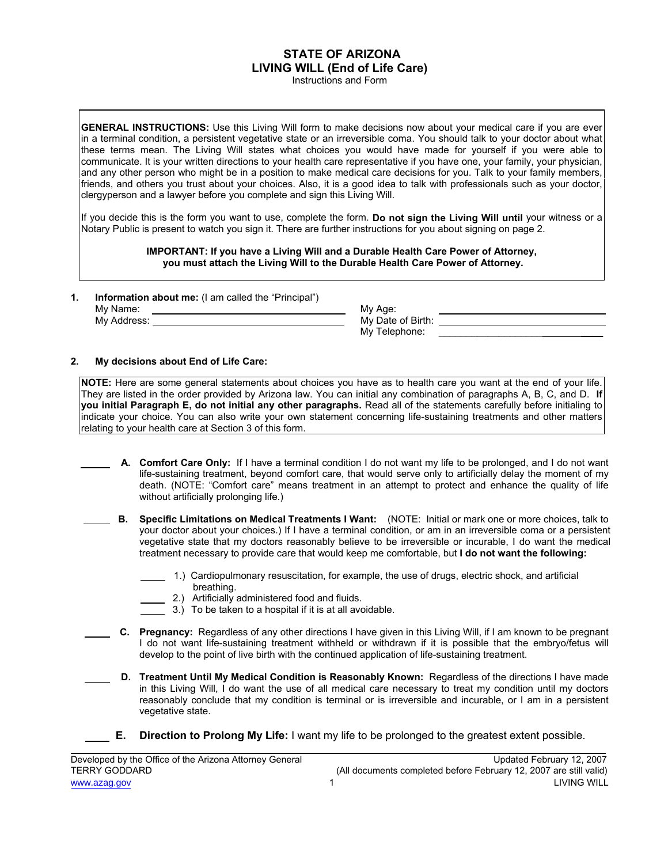# **STATE OF ARIZONA**

**LIVING WILL (End of Life Care)**

Instructions and Form

**GENERAL INSTRUCTIONS:** Use this Living Will form to make decisions now about your medical care if you are ever in a terminal condition, a persistent vegetative state or an irreversible coma. You should talk to your doctor about what these terms mean. The Living Will states what choices you would have made for yourself if you were able to communicate. It is your written directions to your health care representative if you have one, your family, your physician, and any other person who might be in a position to make medical care decisions for you. Talk to your family members, friends, and others you trust about your choices. Also, it is a good idea to talk with professionals such as your doctor, clergyperson and a lawyer before you complete and sign this Living Will.

If you decide this is the form you want to use, complete the form. **Do not sign the Living Will until** your witness or a Notary Public is present to watch you sign it. There are further instructions for you about signing on page 2.

> **IMPORTANT: If you have a Living Will and a Durable Health Care Power of Attorney, you must attach the Living Will to the Durable Health Care Power of Attorney.**

| 1. | <b>Information about me:</b> (I am called the "Principal") |  |
|----|------------------------------------------------------------|--|
|    | My Name:                                                   |  |
|    | My Address:                                                |  |

My Name: My Age: My Telephone:

#### **2. My decisions about End of Life Care:**

**NOTE:** Here are some general statements about choices you have as to health care you want at the end of your life. They are listed in the order provided by Arizona law. You can initial any combination of paragraphs A, B, C, and D. **If you initial Paragraph E, do not initial any other paragraphs.** Read all of the statements carefully before initialing to indicate your choice. You can also write your own statement concerning life-sustaining treatments and other matters relating to your health care at Section 3 of this form.

- **A. Comfort Care Only:** If I have a terminal condition I do not want my life to be prolonged, and I do not want life-sustaining treatment, beyond comfort care, that would serve only to artificially delay the moment of my death. (NOTE: "Comfort care" means treatment in an attempt to protect and enhance the quality of life without artificially prolonging life.)
- **B. Specific Limitations on Medical Treatments I Want:** (NOTE: Initial or mark one or more choices, talk to your doctor about your choices.) If I have a terminal condition, or am in an irreversible coma or a persistent vegetative state that my doctors reasonably believe to be irreversible or incurable, I do want the medical treatment necessary to provide care that would keep me comfortable, but **I do not want the following:**
	- 1.) Cardiopulmonary resuscitation, for example, the use of drugs, electric shock, and artificial breathing.
		- 2.)Artificially administered food and fluids.
		- 3.) To be taken to a hospital if it is at all avoidable.
- **C. Pregnancy:** Regardless of any other directions I have given in this Living Will, if I am known to be pregnant I do not want life-sustaining treatment withheld or withdrawn if it is possible that the embryo/fetus will develop to the point of live birth with the continued application of life-sustaining treatment.
	- **D. Treatment Until My Medical Condition is Reasonably Known:** Regardless of the directions I have made in this Living Will, I do want the use of all medical care necessary to treat my condition until my doctors reasonably conclude that my condition is terminal or is irreversible and incurable, or I am in a persistent vegetative state.
	- **E. Direction to Prolong My Life:** I want my life to be prolonged to the greatest extent possible.

 $\overline{a}$